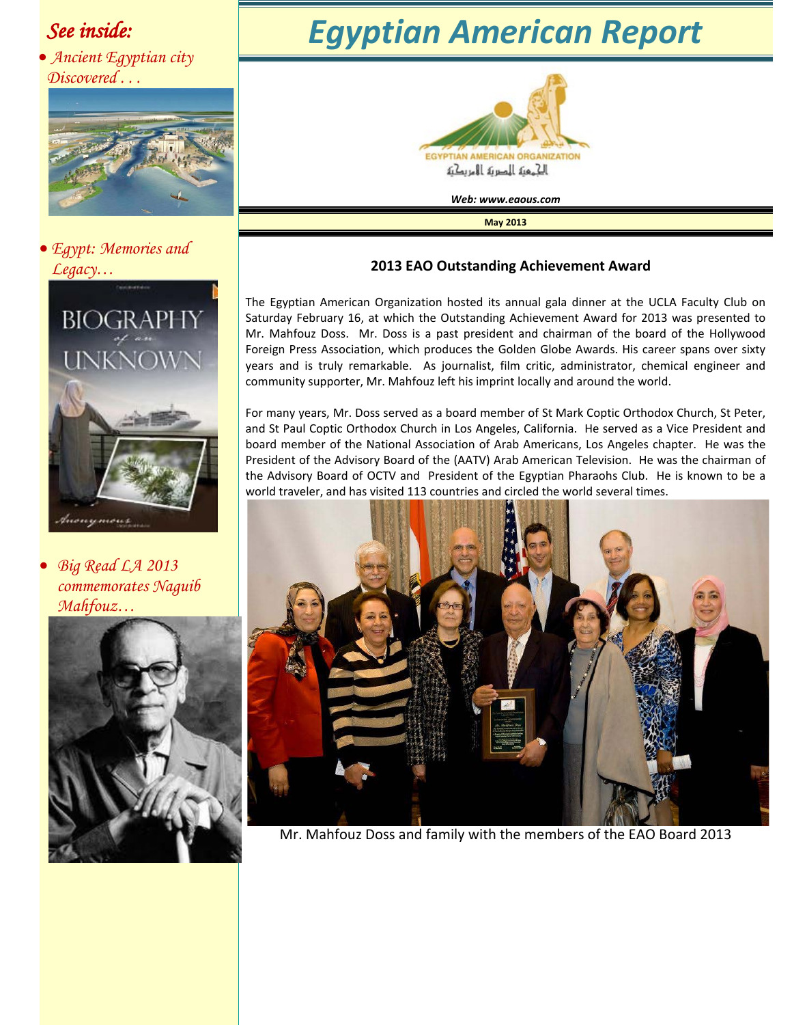### *See inside:*

• *Ancient Egyptian city Discovered . . .*



• *Egypt: Memories and Legacy…*



• *Big Read LA 2013 commemorates Naguib Mahfouz…*



# *Egyptian American Report*



*Web: www.eaous.com* 

**May 2013**

#### **2013 EAO Outstanding Achievement Award**

The Egyptian American Organization hosted its annual gala dinner at the UCLA Faculty Club on Saturday February 16, at which the Outstanding Achievement Award for 2013 was presented to Mr. Mahfouz Doss. Mr. Doss is a past president and chairman of the board of the Hollywood Foreign Press Association, which produces the Golden Globe Awards. His career spans over sixty years and is truly remarkable. As journalist, film critic, administrator, chemical engineer and community supporter, Mr. Mahfouz left his imprint locally and around the world.

For many years, Mr. Doss served as a board member of St Mark Coptic Orthodox Church, St Peter, and St Paul Coptic Orthodox Church in Los Angeles, California. He served as a Vice President and board member of the National Association of Arab Americans, Los Angeles chapter. He was the President of the Advisory Board of the (AATV) Arab American Television. He was the chairman of the Advisory Board of OCTV and President of the Egyptian Pharaohs Club. He is known to be a world traveler, and has visited 113 countries and circled the world several times.



Mr. Mahfouz Doss and family with the members of the EAO Board 2013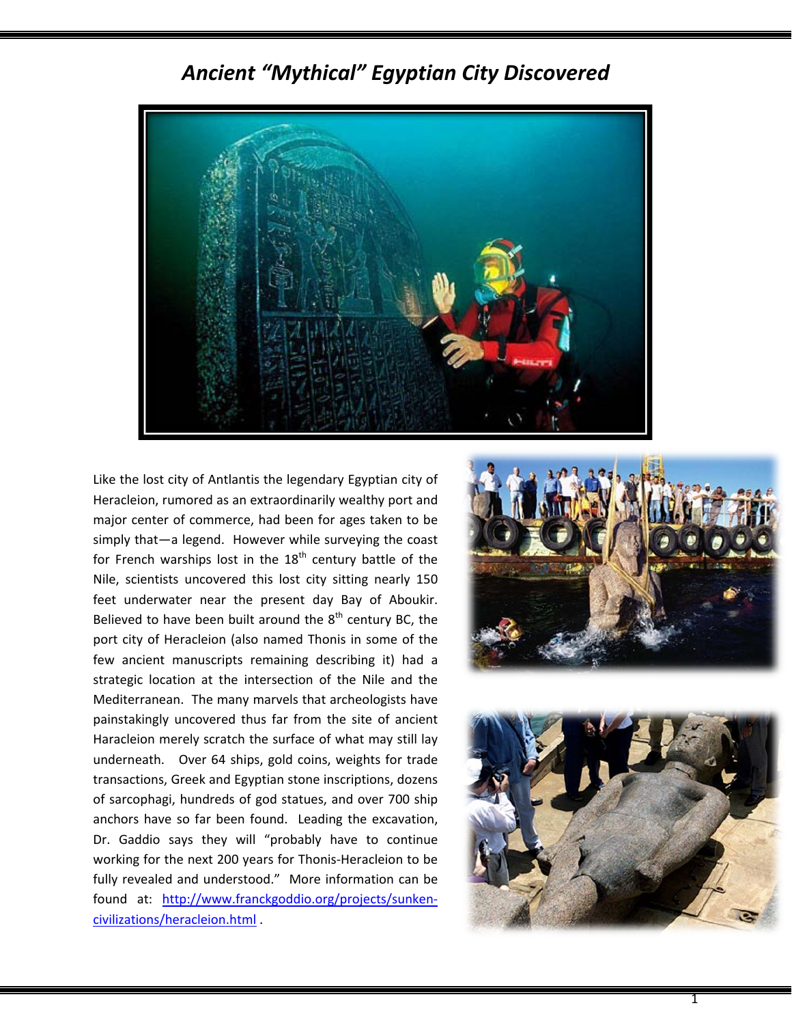

### *Ancient "Mythical" Egyptian City Discovered*

Like the lost city of Antlantis the legendary Egyptian city of Heracleion, rumored as an extraordinarily wealthy port and major center of commerce, had been for ages taken to be simply that—a legend. However while surveying the coast for French warships lost in the  $18<sup>th</sup>$  century battle of the Nile, scientists uncovered this lost city sitting nearly 150 feet underwater near the present day Bay of Aboukir. Believed to have been built around the  $8<sup>th</sup>$  century BC, the port city of Heracleion (also named Thonis in some of the few ancient manuscripts remaining describing it) had a strategic location at the intersection of the Nile and the Mediterranean. The many marvels that archeologists have painstakingly uncovered thus far from the site of ancient Haracleion merely scratch the surface of what may still lay underneath. Over 64 ships, gold coins, weights for trade transactions, Greek and Egyptian stone inscriptions, dozens of sarcophagi, hundreds of god statues, and over 700 ship anchors have so far been found. Leading the excavation, Dr. Gaddio says they will "probably have to continue working for the next 200 years for Thonis-Heracleion to be fully revealed and understood." More information can be found at: [http://www.franckgoddio.org/projects/sunken](http://www.franckgoddio.org/projects/sunken-civilizations/heracleion.html)[civilizations/heracleion.html](http://www.franckgoddio.org/projects/sunken-civilizations/heracleion.html) .





1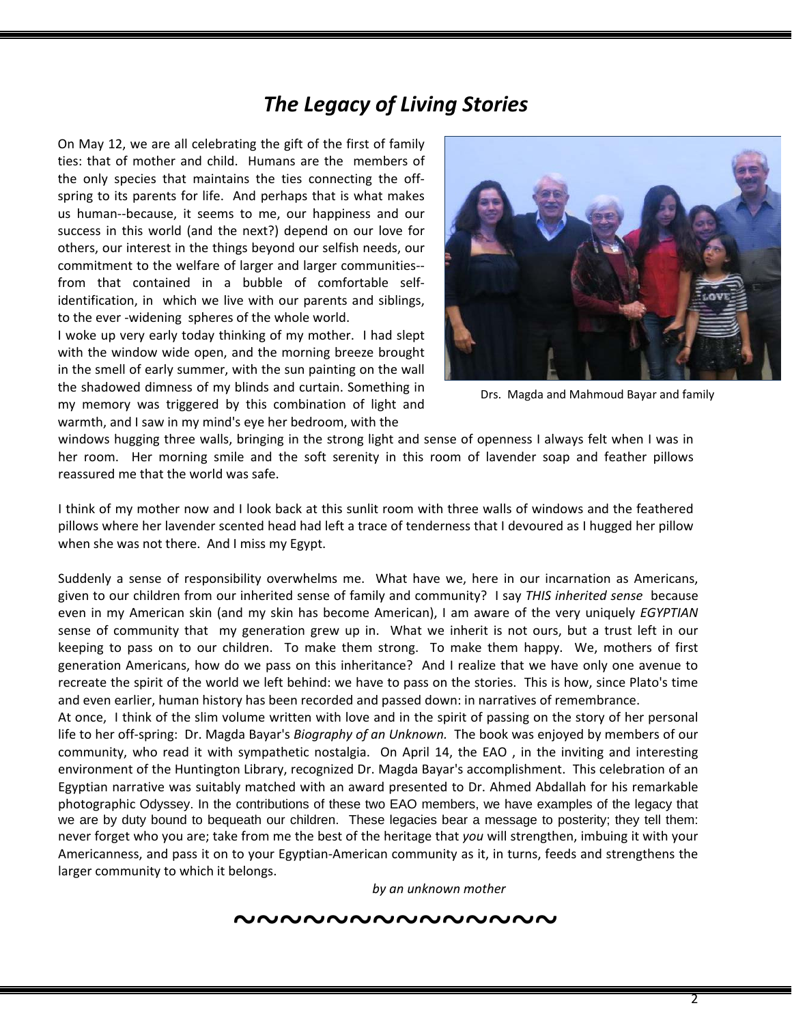## *The Legacy of Living Stories*

On May 12, we are all celebrating the gift of the first of family ties: that of mother and child. Humans are the members of the only species that maintains the ties connecting the offspring to its parents for life. And perhaps that is what makes us human--because, it seems to me, our happiness and our success in this world (and the next?) depend on our love for others, our interest in the things beyond our selfish needs, our commitment to the welfare of larger and larger communities- from that contained in a bubble of comfortable selfidentification, in which we live with our parents and siblings, to the ever -widening spheres of the whole world.

I woke up very early today thinking of my mother. I had slept with the window wide open, and the morning breeze brought in the smell of early summer, with the sun painting on the wall the shadowed dimness of my blinds and curtain. Something in my memory was triggered by this combination of light and warmth, and I saw in my mind's eye her bedroom, with the



Drs. Magda and Mahmoud Bayar and family

windows hugging three walls, bringing in the strong light and sense of openness I always felt when I was in her room. Her morning smile and the soft serenity in this room of lavender soap and feather pillows reassured me that the world was safe.

I think of my mother now and I look back at this sunlit room with three walls of windows and the feathered pillows where her lavender scented head had left a trace of tenderness that I devoured as I hugged her pillow when she was not there. And I miss my Egypt.

Suddenly a sense of responsibility overwhelms me. What have we, here in our incarnation as Americans, given to our children from our inherited sense of family and community? I say *THIS inherited sense* because even in my American skin (and my skin has become American), I am aware of the very uniquely *EGYPTIAN* sense of community that my generation grew up in. What we inherit is not ours, but a trust left in our keeping to pass on to our children. To make them strong. To make them happy. We, mothers of first generation Americans, how do we pass on this inheritance? And I realize that we have only one avenue to recreate the spirit of the world we left behind: we have to pass on the stories. This is how, since Plato's time and even earlier, human history has been recorded and passed down: in narratives of remembrance.

At once, I think of the slim volume written with love and in the spirit of passing on the story of her personal life to her off-spring: Dr. Magda Bayar's *Biography of an Unknown.* The book was enjoyed by members of our community, who read it with sympathetic nostalgia. On April 14, the EAO , in the inviting and interesting environment of the Huntington Library, recognized Dr. Magda Bayar's accomplishment. This celebration of an Egyptian narrative was suitably matched with an award presented to Dr. Ahmed Abdallah for his remarkable photographic Odyssey. In the contributions of these two EAO members, we have examples of the legacy that we are by duty bound to bequeath our children. These legacies bear a message to posterity; they tell them: never forget who you are; take from me the best of the heritage that *you* will strengthen, imbuing it with your Americanness, and pass it on to your Egyptian-American community as it, in turns, feeds and strengthens the larger community to which it belongs.

*by an unknown mother*

#### ~~~~~~~~~~~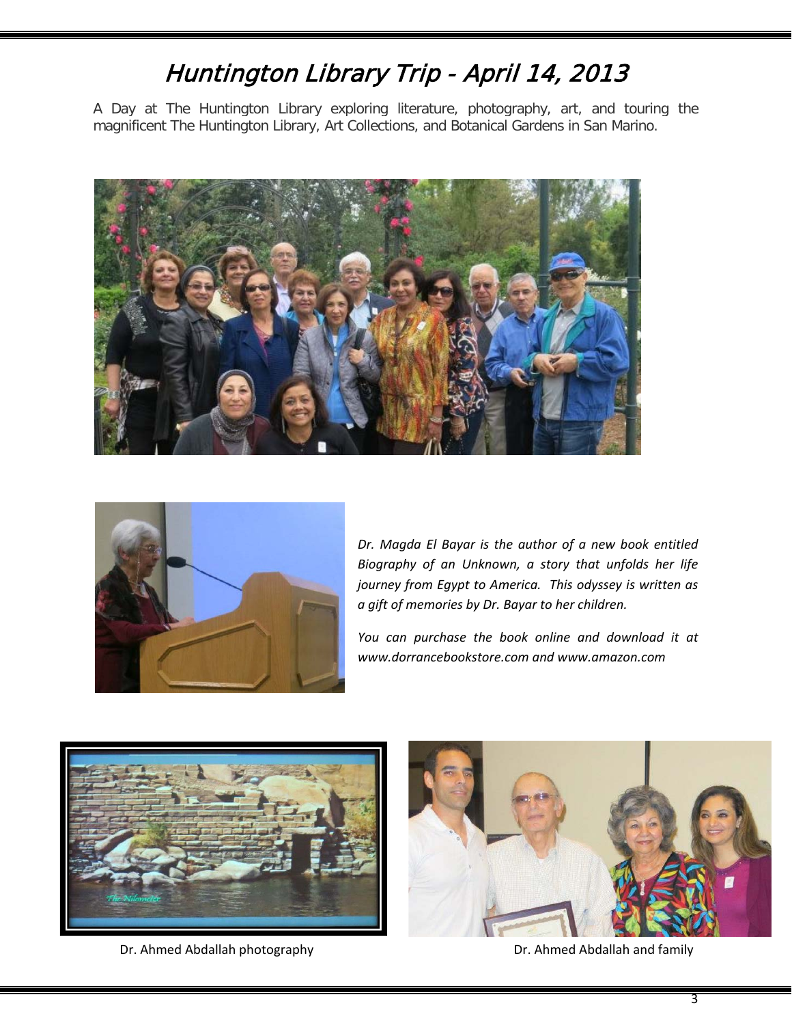## [Huntington Library Trip - April 14, 2013](https://www.facebook.com/media/set/?set=a.355533217891580.1073741825.111369338974637&type=1)

A Day at The Huntington Library exploring literature, photography, art, and touring the magnificent The Huntington Library, Art Collections, and Botanical Gardens in San Marino.





*Dr. Magda El Bayar is the author of a new book entitled Biography of an Unknown, a story that unfolds her life journey from Egypt to America. This odyssey is written as a gift of memories by Dr. Bayar to her children.* 

*You can purchase the book online and download it at www.dorrancebookstore.com and www.amazon.com* 



Dr. Ahmed Abdallah photography Dr. Ahmed Abdallah and family